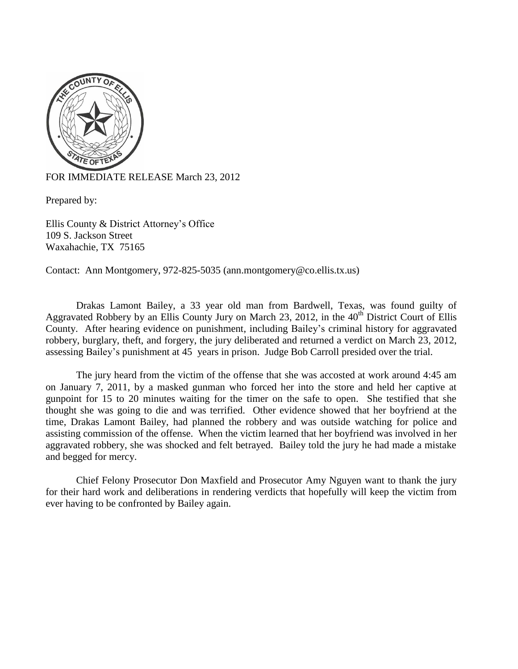

FOR IMMEDIATE RELEASE March 23, 2012

Prepared by:

Ellis County & District Attorney's Office 109 S. Jackson Street Waxahachie, TX 75165

Contact: Ann Montgomery, 972-825-5035 (ann.montgomery@co.ellis.tx.us)

Drakas Lamont Bailey, a 33 year old man from Bardwell, Texas, was found guilty of Aggravated Robbery by an Ellis County Jury on March 23, 2012, in the 40<sup>th</sup> District Court of Ellis County. After hearing evidence on punishment, including Bailey's criminal history for aggravated robbery, burglary, theft, and forgery, the jury deliberated and returned a verdict on March 23, 2012, assessing Bailey's punishment at 45 years in prison. Judge Bob Carroll presided over the trial.

The jury heard from the victim of the offense that she was accosted at work around 4:45 am on January 7, 2011, by a masked gunman who forced her into the store and held her captive at gunpoint for 15 to 20 minutes waiting for the timer on the safe to open. She testified that she thought she was going to die and was terrified. Other evidence showed that her boyfriend at the time, Drakas Lamont Bailey, had planned the robbery and was outside watching for police and assisting commission of the offense. When the victim learned that her boyfriend was involved in her aggravated robbery, she was shocked and felt betrayed. Bailey told the jury he had made a mistake and begged for mercy.

Chief Felony Prosecutor Don Maxfield and Prosecutor Amy Nguyen want to thank the jury for their hard work and deliberations in rendering verdicts that hopefully will keep the victim from ever having to be confronted by Bailey again.